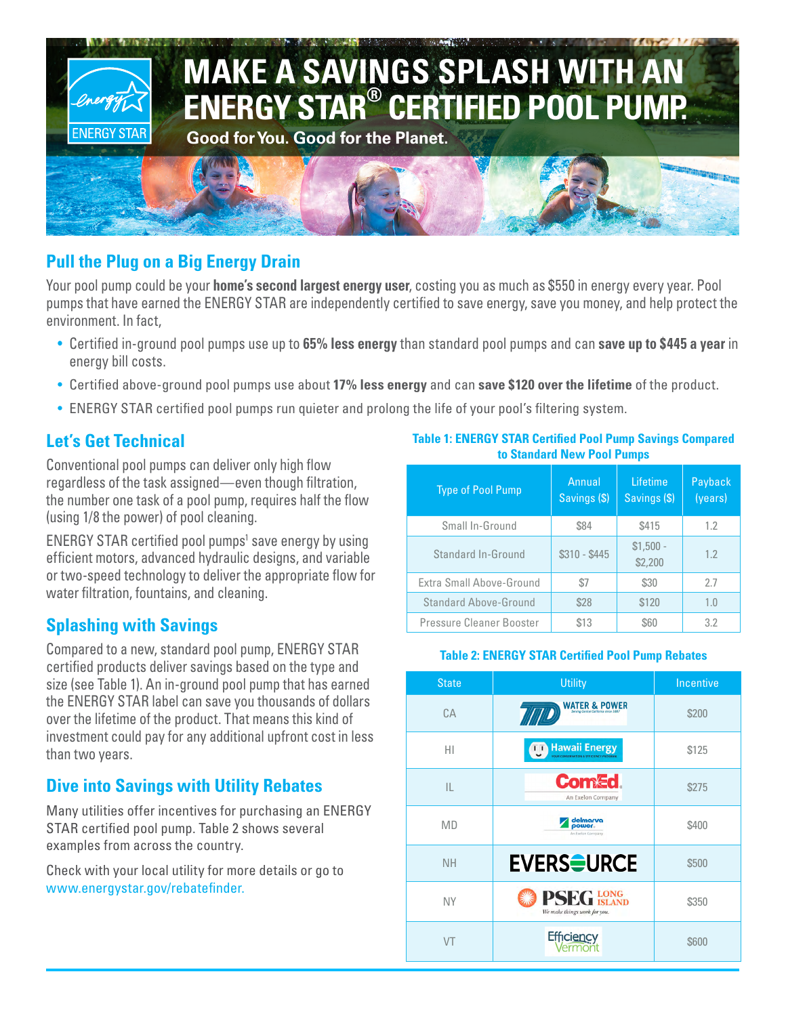

# **Pull the Plug on a Big Energy Drain**

Your pool pump could be your **home's second largest energy user**, costing you as much as \$550 in energy every year. Pool pumps that have earned the ENERGY STAR are independently certified to save energy, save you money, and help protect the environment. In fact,

- Certified in-ground pool pumps use up to **65% less energy** than standard pool pumps and can **save up to \$445 a year** in energy bill costs.
- Certified above-ground pool pumps use about **17% less energy** and can **save \$120 over the lifetime** of the product.
- ENERGY STAR certified pool pumps run quieter and prolong the life of your pool's filtering system.

## **Let's Get Technical**

Conventional pool pumps can deliver only high flow regardless of the task assigned—even though filtration, the number one task of a pool pump, requires half the flow (using 1/8 the power) of pool cleaning.

ENERGY STAR certified pool pumps<sup>1</sup> save energy by using efficient motors, advanced hydraulic designs, and variable or two-speed technology to deliver the appropriate flow for water filtration, fountains, and cleaning.

#### **Splashing with Savings**

Compared to a new, standard pool pump, ENERGY STAR certified products deliver savings based on the type and size (see Table 1). An in-ground pool pump that has earned the ENERGY STAR label can save you thousands of dollars over the lifetime of the product. That means this kind of investment could pay for any additional upfront cost in less than two years.

# **Dive into Savings with Utility Rebates**

Many utilities offer incentives for purchasing an ENERGY STAR certified pool pump. Table 2 shows several examples from across the country.

Check with your local utility for more details or go to www.energystar.gov/rebatefinder.

**Table 1: ENERGY STAR Certified Pool Pump Savings Compared to Standard New Pool Pumps**

| <b>Type of Pool Pump</b>     | Annual<br>Savings (\$) | Lifetime<br>Savings (\$) | Payback<br>(years) |
|------------------------------|------------------------|--------------------------|--------------------|
| Small In-Ground              | \$84                   | \$415                    | 1.2                |
| Standard In-Ground           | $$310 - $445$          | $$1,500 -$<br>\$2,200    | 1.2                |
| Extra Small Above-Ground     | \$7                    | \$30                     | 27                 |
| <b>Standard Above-Ground</b> | \$28                   | \$120                    | 1.0                |
| Pressure Cleaner Booster     | \$13                   | \$60                     | 3.2                |

#### **Table 2: ENERGY STAR Certified Pool Pump Rebates**

| <b>State</b> | <b>Utility</b>                                                       | Incentive |
|--------------|----------------------------------------------------------------------|-----------|
| CA           | <b>WATER &amp; POWER</b>                                             | \$200     |
| HI           | <b>Hawaii Energy</b><br>11<br>YOUR CONSERVATION & EFFICIENCY PROGRAM | \$125     |
| IL           | Com£d<br>An Exelon Company                                           | \$275     |
| <b>MD</b>    | delmarva<br>power.<br>An Exelon Company                              | \$400     |
| <b>NH</b>    | <b>EVERS<del>O</del>URCE</b>                                         | \$500     |
| <b>NY</b>    | <b>PSEG LONG</b><br>We make things work for you.                     | \$350     |
| VT           | Efficiency<br>Vermont                                                | \$600     |